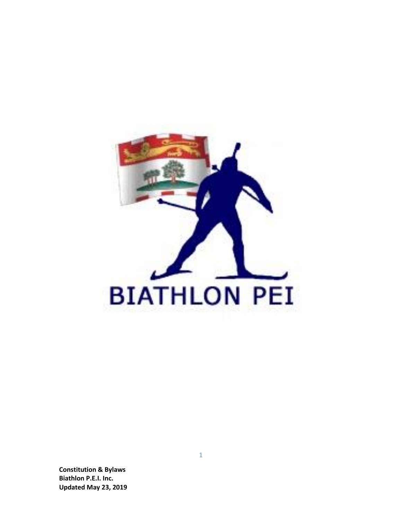

**Constitution & Bylaws Biathlon P.E.I. Inc. Updated May 23, 201 9**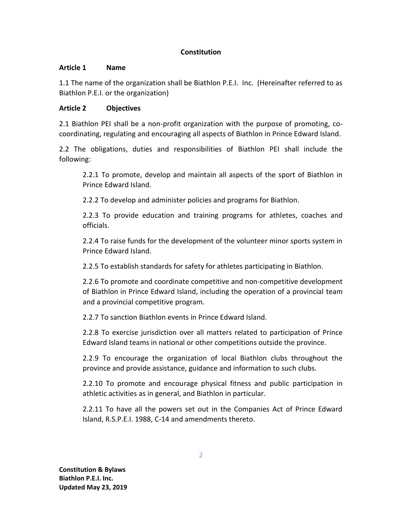# **Constitution**

# **Article 1 Name**

1.1 The name of the organization shall be Biathlon P.E.I. Inc. (Hereinafter referred to as Biathlon P.E.I. or the organization)

# **Article 2 Objectives**

2.1 Biathlon PEI shall be a non-profit organization with the purpose of promoting, cocoordinating, regulating and encouraging all aspects of Biathlon in Prince Edward Island.

2.2 The obligations, duties and responsibilities of Biathlon PEI shall include the following:

2.2.1 To promote, develop and maintain all aspects of the sport of Biathlon in Prince Edward Island.

2.2.2 To develop and administer policies and programs for Biathlon.

2.2.3 To provide education and training programs for athletes, coaches and officials.

2.2.4 To raise funds for the development of the volunteer minor sports system in Prince Edward Island.

2.2.5 To establish standards for safety for athletes participating in Biathlon.

2.2.6 To promote and coordinate competitive and non-competitive development of Biathlon in Prince Edward Island, including the operation of a provincial team and a provincial competitive program.

2.2.7 To sanction Biathlon events in Prince Edward Island.

2.2.8 To exercise jurisdiction over all matters related to participation of Prince Edward Island teams in national or other competitions outside the province.

2.2.9 To encourage the organization of local Biathlon clubs throughout the province and provide assistance, guidance and information to such clubs.

2.2.10 To promote and encourage physical fitness and public participation in athletic activities as in general, and Biathlon in particular.

2.2.11 To have all the powers set out in the Companies Act of Prince Edward Island, R.S.P.E.I. 1988, C-14 and amendments thereto.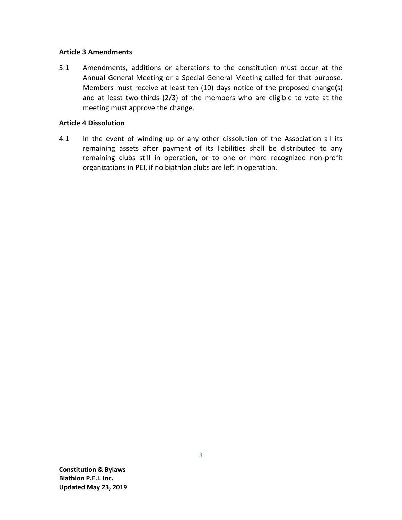### **Article 3 Amendments**

3.1 Amendments, additions or alterations to the constitution must occur at the Annual General Meeting or a Special General Meeting called for that purpose. Members must receive at least ten (10) days notice of the proposed change(s) and at least two-thirds (2/3) of the members who are eligible to vote at the meeting must approve the change.

## **Article 4 Dissolution**

4.1 In the event of winding up or any other dissolution of the Association all its remaining assets after payment of its liabilities shall be distributed to any remaining clubs still in operation, or to one or more recognized non-profit organizations in PEI, if no biathlon clubs are left in operation.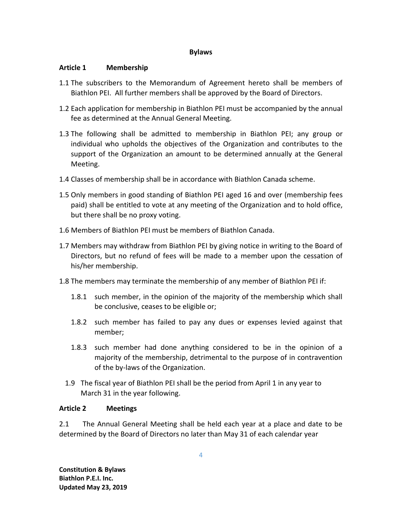### **Bylaws**

### **Article 1 Membership**

- 1.1 The subscribers to the Memorandum of Agreement hereto shall be members of Biathlon PEI. All further members shall be approved by the Board of Directors.
- 1.2 Each application for membership in Biathlon PEI must be accompanied by the annual fee as determined at the Annual General Meeting.
- 1.3 The following shall be admitted to membership in Biathlon PEI; any group or individual who upholds the objectives of the Organization and contributes to the support of the Organization an amount to be determined annually at the General Meeting.
- 1.4 Classes of membership shall be in accordance with Biathlon Canada scheme.
- 1.5 Only members in good standing of Biathlon PEI aged 16 and over (membership fees paid) shall be entitled to vote at any meeting of the Organization and to hold office, but there shall be no proxy voting.
- 1.6 Members of Biathlon PEI must be members of Biathlon Canada.
- 1.7 Members may withdraw from Biathlon PEI by giving notice in writing to the Board of Directors, but no refund of fees will be made to a member upon the cessation of his/her membership.
- 1.8 The members may terminate the membership of any member of Biathlon PEI if:
	- 1.8.1 such member, in the opinion of the majority of the membership which shall be conclusive, ceases to be eligible or;
	- 1.8.2 such member has failed to pay any dues or expenses levied against that member;
	- 1.8.3 such member had done anything considered to be in the opinion of a majority of the membership, detrimental to the purpose of in contravention of the by-laws of the Organization.
	- 1.9 The fiscal year of Biathlon PEI shall be the period from April 1 in any year to March 31 in the year following.

# **Article 2 Meetings**

2.1 The Annual General Meeting shall be held each year at a place and date to be determined by the Board of Directors no later than May 31 of each calendar year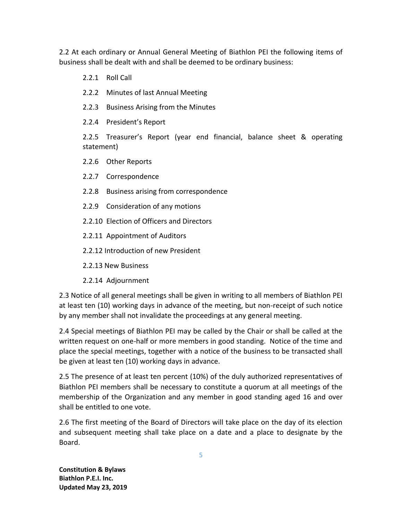2.2 At each ordinary or Annual General Meeting of Biathlon PEI the following items of business shall be dealt with and shall be deemed to be ordinary business:

- 2.2.1 Roll Call
- 2.2.2 Minutes of last Annual Meeting
- 2.2.3 Business Arising from the Minutes
- 2.2.4 President's Report

2.2.5 Treasurer's Report (year end financial, balance sheet & operating statement)

- 2.2.6 Other Reports
- 2.2.7 Correspondence
- 2.2.8 Business arising from correspondence
- 2.2.9 Consideration of any motions
- 2.2.10 Election of Officers and Directors
- 2.2.11 Appointment of Auditors
- 2.2.12 Introduction of new President
- 2.2.13 New Business
- 2.2.14 Adjournment

2.3 Notice of all general meetings shall be given in writing to all members of Biathlon PEI at least ten (10) working days in advance of the meeting, but non-receipt of such notice by any member shall not invalidate the proceedings at any general meeting.

2.4 Special meetings of Biathlon PEI may be called by the Chair or shall be called at the written request on one-half or more members in good standing. Notice of the time and place the special meetings, together with a notice of the business to be transacted shall be given at least ten (10) working days in advance.

2.5 The presence of at least ten percent (10%) of the duly authorized representatives of Biathlon PEI members shall be necessary to constitute a quorum at all meetings of the membership of the Organization and any member in good standing aged 16 and over shall be entitled to one vote.

2.6 The first meeting of the Board of Directors will take place on the day of its election and subsequent meeting shall take place on a date and a place to designate by the Board.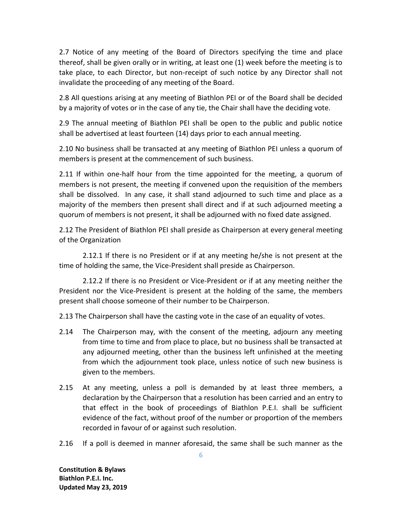2.7 Notice of any meeting of the Board of Directors specifying the time and place thereof, shall be given orally or in writing, at least one (1) week before the meeting is to take place, to each Director, but non-receipt of such notice by any Director shall not invalidate the proceeding of any meeting of the Board.

2.8 All questions arising at any meeting of Biathlon PEI or of the Board shall be decided by a majority of votes or in the case of any tie, the Chair shall have the deciding vote.

2.9 The annual meeting of Biathlon PEI shall be open to the public and public notice shall be advertised at least fourteen (14) days prior to each annual meeting.

2.10 No business shall be transacted at any meeting of Biathlon PEI unless a quorum of members is present at the commencement of such business.

2.11 If within one-half hour from the time appointed for the meeting, a quorum of members is not present, the meeting if convened upon the requisition of the members shall be dissolved. In any case, it shall stand adjourned to such time and place as a majority of the members then present shall direct and if at such adjourned meeting a quorum of members is not present, it shall be adjourned with no fixed date assigned.

2.12 The President of Biathlon PEI shall preside as Chairperson at every general meeting of the Organization

2.12.1 If there is no President or if at any meeting he/she is not present at the time of holding the same, the Vice-President shall preside as Chairperson.

2.12.2 If there is no President or Vice-President or if at any meeting neither the President nor the Vice-President is present at the holding of the same, the members present shall choose someone of their number to be Chairperson.

2.13 The Chairperson shall have the casting vote in the case of an equality of votes.

- 2.14 The Chairperson may, with the consent of the meeting, adjourn any meeting from time to time and from place to place, but no business shall be transacted at any adjourned meeting, other than the business left unfinished at the meeting from which the adjournment took place, unless notice of such new business is given to the members.
- 2.15 At any meeting, unless a poll is demanded by at least three members, a declaration by the Chairperson that a resolution has been carried and an entry to that effect in the book of proceedings of Biathlon P.E.I. shall be sufficient evidence of the fact, without proof of the number or proportion of the members recorded in favour of or against such resolution.
- 2.16 If a poll is deemed in manner aforesaid, the same shall be such manner as the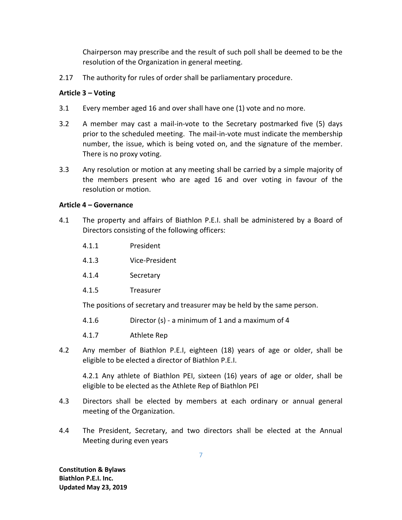Chairperson may prescribe and the result of such poll shall be deemed to be the resolution of the Organization in general meeting.

2.17 The authority for rules of order shall be parliamentary procedure.

## **Article 3 – Voting**

- 3.1 Every member aged 16 and over shall have one (1) vote and no more.
- 3.2 A member may cast a mail-in-vote to the Secretary postmarked five (5) days prior to the scheduled meeting. The mail-in-vote must indicate the membership number, the issue, which is being voted on, and the signature of the member. There is no proxy voting.
- 3.3 Any resolution or motion at any meeting shall be carried by a simple majority of the members present who are aged 16 and over voting in favour of the resolution or motion.

## **Article 4 – Governance**

- 4.1 The property and affairs of Biathlon P.E.I. shall be administered by a Board of Directors consisting of the following officers:
	- 4.1.1 President
	- 4.1.3 Vice-President
	- 4.1.4 Secretary
	- 4.1.5 Treasurer

The positions of secretary and treasurer may be held by the same person.

- 4.1.6 Director (s) a minimum of 1 and a maximum of 4
- 4.1.7 Athlete Rep
- 4.2 Any member of Biathlon P.E.I, eighteen (18) years of age or older, shall be eligible to be elected a director of Biathlon P.E.I.

4.2.1 Any athlete of Biathlon PEI, sixteen (16) years of age or older, shall be eligible to be elected as the Athlete Rep of Biathlon PEI

- 4.3 Directors shall be elected by members at each ordinary or annual general meeting of the Organization.
- 4.4 The President, Secretary, and two directors shall be elected at the Annual Meeting during even years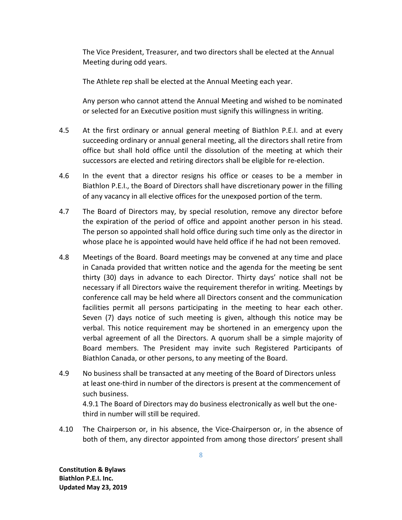The Vice President, Treasurer, and two directors shall be elected at the Annual Meeting during odd years.

The Athlete rep shall be elected at the Annual Meeting each year.

Any person who cannot attend the Annual Meeting and wished to be nominated or selected for an Executive position must signify this willingness in writing.

- 4.5 At the first ordinary or annual general meeting of Biathlon P.E.I. and at every succeeding ordinary or annual general meeting, all the directors shall retire from office but shall hold office until the dissolution of the meeting at which their successors are elected and retiring directors shall be eligible for re-election.
- 4.6 In the event that a director resigns his office or ceases to be a member in Biathlon P.E.I., the Board of Directors shall have discretionary power in the filling of any vacancy in all elective offices for the unexposed portion of the term.
- 4.7 The Board of Directors may, by special resolution, remove any director before the expiration of the period of office and appoint another person in his stead. The person so appointed shall hold office during such time only as the director in whose place he is appointed would have held office if he had not been removed.
- 4.8 Meetings of the Board. Board meetings may be convened at any time and place in Canada provided that written notice and the agenda for the meeting be sent thirty (30) days in advance to each Director. Thirty days' notice shall not be necessary if all Directors waive the requirement therefor in writing. Meetings by conference call may be held where all Directors consent and the communication facilities permit all persons participating in the meeting to hear each other. Seven (7) days notice of such meeting is given, although this notice may be verbal. This notice requirement may be shortened in an emergency upon the verbal agreement of all the Directors. A quorum shall be a simple majority of Board members. The President may invite such Registered Participants of Biathlon Canada, or other persons, to any meeting of the Board.
- 4.9 No business shall be transacted at any meeting of the Board of Directors unless at least one-third in number of the directors is present at the commencement of such business.

4.9.1 The Board of Directors may do business electronically as well but the onethird in number will still be required.

4.10 The Chairperson or, in his absence, the Vice-Chairperson or, in the absence of both of them, any director appointed from among those directors' present shall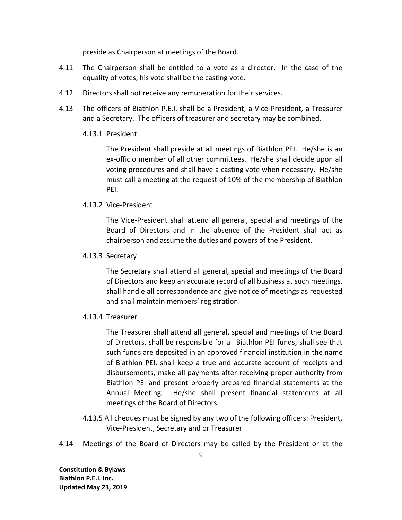preside as Chairperson at meetings of the Board.

- 4.11 The Chairperson shall be entitled to a vote as a director. In the case of the equality of votes, his vote shall be the casting vote.
- 4.12 Directors shall not receive any remuneration for their services.
- 4.13 The officers of Biathlon P.E.I. shall be a President, a Vice-President, a Treasurer and a Secretary. The officers of treasurer and secretary may be combined.

### 4.13.1 President

The President shall preside at all meetings of Biathlon PEI. He/she is an ex-officio member of all other committees. He/she shall decide upon all voting procedures and shall have a casting vote when necessary. He/she must call a meeting at the request of 10% of the membership of Biathlon PEI.

### 4.13.2 Vice-President

The Vice-President shall attend all general, special and meetings of the Board of Directors and in the absence of the President shall act as chairperson and assume the duties and powers of the President.

### 4.13.3 Secretary

The Secretary shall attend all general, special and meetings of the Board of Directors and keep an accurate record of all business at such meetings, shall handle all correspondence and give notice of meetings as requested and shall maintain members' registration.

### 4.13.4 Treasurer

The Treasurer shall attend all general, special and meetings of the Board of Directors, shall be responsible for all Biathlon PEI funds, shall see that such funds are deposited in an approved financial institution in the name of Biathlon PEI, shall keep a true and accurate account of receipts and disbursements, make all payments after receiving proper authority from Biathlon PEI and present properly prepared financial statements at the Annual Meeting. He/she shall present financial statements at all meetings of the Board of Directors.

- 4.13.5 All cheques must be signed by any two of the following officers: President, Vice-President, Secretary and or Treasurer
- 4.14 Meetings of the Board of Directors may be called by the President or at the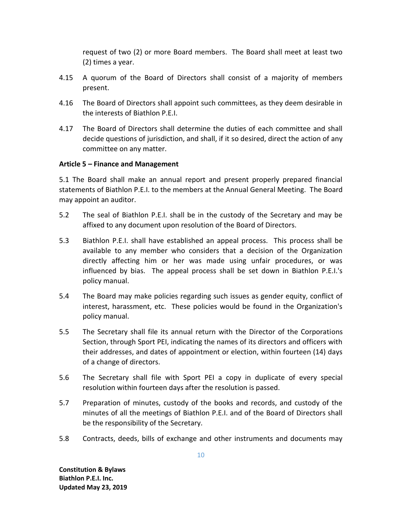request of two (2) or more Board members. The Board shall meet at least two (2) times a year.

- 4.15 A quorum of the Board of Directors shall consist of a majority of members present.
- 4.16 The Board of Directors shall appoint such committees, as they deem desirable in the interests of Biathlon P.E.I.
- 4.17 The Board of Directors shall determine the duties of each committee and shall decide questions of jurisdiction, and shall, if it so desired, direct the action of any committee on any matter.

## **Article 5 – Finance and Management**

5.1 The Board shall make an annual report and present properly prepared financial statements of Biathlon P.E.I. to the members at the Annual General Meeting. The Board may appoint an auditor.

- 5.2 The seal of Biathlon P.E.I. shall be in the custody of the Secretary and may be affixed to any document upon resolution of the Board of Directors.
- 5.3 Biathlon P.E.I. shall have established an appeal process. This process shall be available to any member who considers that a decision of the Organization directly affecting him or her was made using unfair procedures, or was influenced by bias. The appeal process shall be set down in Biathlon P.E.I.'s policy manual.
- 5.4 The Board may make policies regarding such issues as gender equity, conflict of interest, harassment, etc. These policies would be found in the Organization's policy manual.
- 5.5 The Secretary shall file its annual return with the Director of the Corporations Section, through Sport PEI, indicating the names of its directors and officers with their addresses, and dates of appointment or election, within fourteen (14) days of a change of directors.
- 5.6 The Secretary shall file with Sport PEI a copy in duplicate of every special resolution within fourteen days after the resolution is passed.
- 5.7 Preparation of minutes, custody of the books and records, and custody of the minutes of all the meetings of Biathlon P.E.I. and of the Board of Directors shall be the responsibility of the Secretary.
- 5.8 Contracts, deeds, bills of exchange and other instruments and documents may